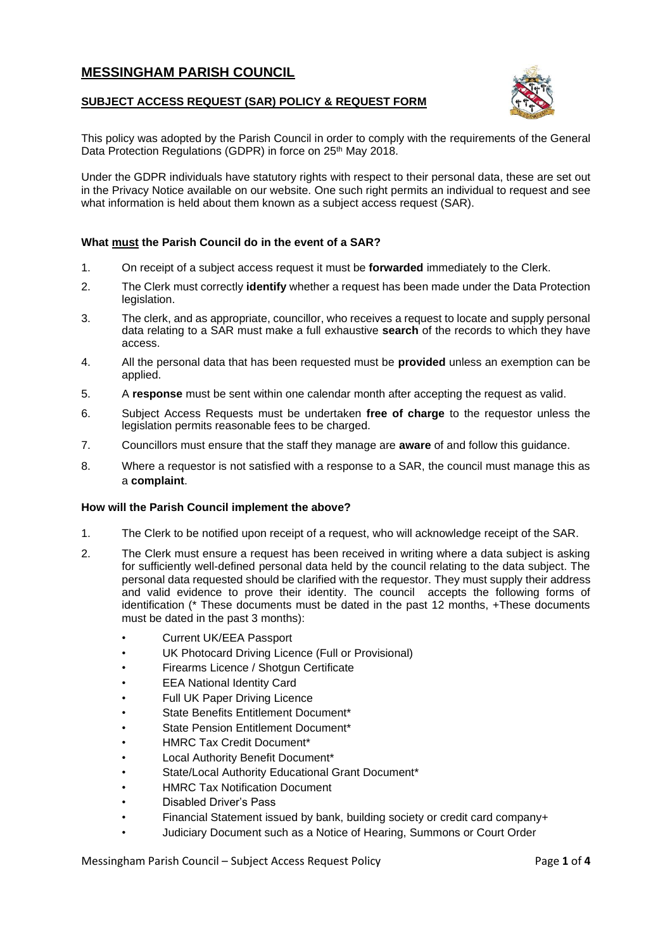## **MESSINGHAM PARISH COUNCIL**

#### **SUBJECT ACCESS REQUEST (SAR) POLICY & REQUEST FORM**



This policy was adopted by the Parish Council in order to comply with the requirements of the General Data Protection Regulations (GDPR) in force on 25<sup>th</sup> May 2018.

Under the GDPR individuals have statutory rights with respect to their personal data, these are set out in the Privacy Notice available on our website. One such right permits an individual to request and see what information is held about them known as a subject access request (SAR).

#### **What must the Parish Council do in the event of a SAR?**

- 1. On receipt of a subject access request it must be **forwarded** immediately to the Clerk.
- 2. The Clerk must correctly **identify** whether a request has been made under the Data Protection legislation.
- 3. The clerk, and as appropriate, councillor, who receives a request to locate and supply personal data relating to a SAR must make a full exhaustive **search** of the records to which they have access.
- 4. All the personal data that has been requested must be **provided** unless an exemption can be applied.
- 5. A **response** must be sent within one calendar month after accepting the request as valid.
- 6. Subject Access Requests must be undertaken **free of charge** to the requestor unless the legislation permits reasonable fees to be charged.
- 7. Councillors must ensure that the staff they manage are **aware** of and follow this guidance.
- 8. Where a requestor is not satisfied with a response to a SAR, the council must manage this as a **complaint**.

#### **How will the Parish Council implement the above?**

- 1. The Clerk to be notified upon receipt of a request, who will acknowledge receipt of the SAR.
- 2. The Clerk must ensure a request has been received in writing where a data subject is asking for sufficiently well-defined personal data held by the council relating to the data subject. The personal data requested should be clarified with the requestor. They must supply their address and valid evidence to prove their identity. The council accepts the following forms of identification (\* These documents must be dated in the past 12 months, +These documents must be dated in the past 3 months):
	- Current UK/EEA Passport
	- UK Photocard Driving Licence (Full or Provisional)
	- Firearms Licence / Shotgun Certificate
	- EEA National Identity Card
	- Full UK Paper Driving Licence
	- State Benefits Entitlement Document\*
	- State Pension Entitlement Document\*
	- HMRC Tax Credit Document\*
	- Local Authority Benefit Document\*
	- State/Local Authority Educational Grant Document\*
	- HMRC Tax Notification Document
	- Disabled Driver's Pass
	- Financial Statement issued by bank, building society or credit card company+
	- Judiciary Document such as a Notice of Hearing, Summons or Court Order

Messingham Parish Council – Subject Access Request Policy Page **1** of **4**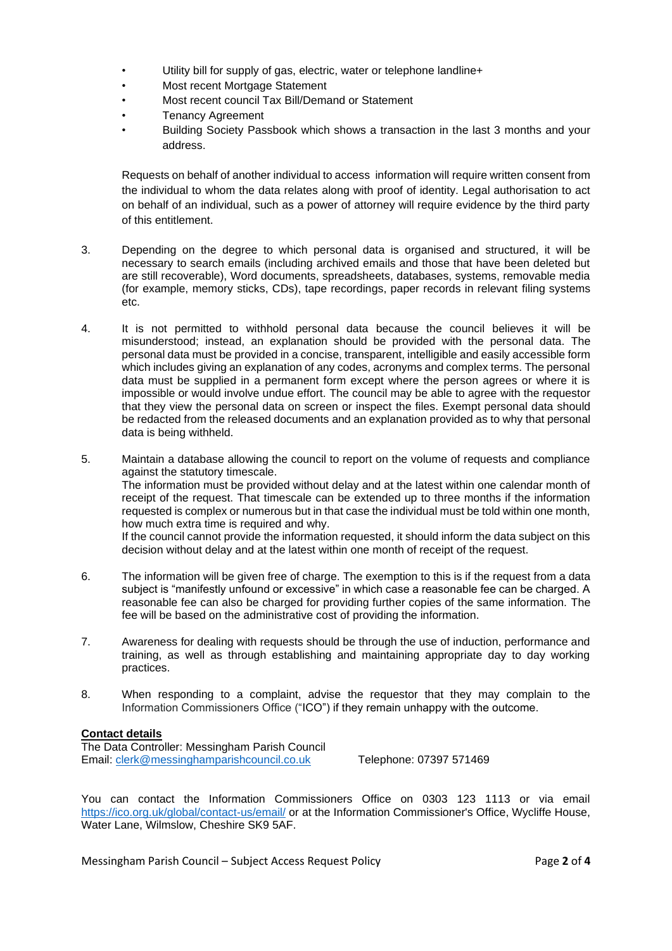- Utility bill for supply of gas, electric, water or telephone landline+
- Most recent Mortgage Statement
- Most recent council Tax Bill/Demand or Statement
- Tenancy Agreement
- Building Society Passbook which shows a transaction in the last 3 months and your address.

Requests on behalf of another individual to access information will require written consent from the individual to whom the data relates along with proof of identity. Legal authorisation to act on behalf of an individual, such as a power of attorney will require evidence by the third party of this entitlement.

- 3. Depending on the degree to which personal data is organised and structured, it will be necessary to search emails (including archived emails and those that have been deleted but are still recoverable), Word documents, spreadsheets, databases, systems, removable media (for example, memory sticks, CDs), tape recordings, paper records in relevant filing systems etc.
- 4. It is not permitted to withhold personal data because the council believes it will be misunderstood; instead, an explanation should be provided with the personal data. The personal data must be provided in a concise, transparent, intelligible and easily accessible form which includes giving an explanation of any codes, acronyms and complex terms. The personal data must be supplied in a permanent form except where the person agrees or where it is impossible or would involve undue effort. The council may be able to agree with the requestor that they view the personal data on screen or inspect the files. Exempt personal data should be redacted from the released documents and an explanation provided as to why that personal data is being withheld.
- 5. Maintain a database allowing the council to report on the volume of requests and compliance against the statutory timescale. The information must be provided without delay and at the latest within one calendar month of receipt of the request. That timescale can be extended up to three months if the information requested is complex or numerous but in that case the individual must be told within one month, how much extra time is required and why. If the council cannot provide the information requested, it should inform the data subject on this decision without delay and at the latest within one month of receipt of the request.
- 6. The information will be given free of charge. The exemption to this is if the request from a data subject is "manifestly unfound or excessive" in which case a reasonable fee can be charged. A reasonable fee can also be charged for providing further copies of the same information. The fee will be based on the administrative cost of providing the information.
- 7. Awareness for dealing with requests should be through the use of induction, performance and training, as well as through establishing and maintaining appropriate day to day working practices.
- 8. When responding to a complaint, advise the requestor that they may complain to the Information Commissioners Office ("ICO") if they remain unhappy with the outcome.

### **Contact details**

The Data Controller: Messingham Parish Council Email: [clerk@messinghamparishcouncil.co.uk](mailto:clerk@messinghamparishcouncil.co.uk) Telephone: 07397 571469

You can contact the Information Commissioners Office on 0303 123 1113 or via email <https://ico.org.uk/global/contact-us/email/> or at the Information Commissioner's Office, Wycliffe House, Water Lane, Wilmslow, Cheshire SK9 5AF.

Messingham Parish Council – Subject Access Request Policy Page **2** of **4**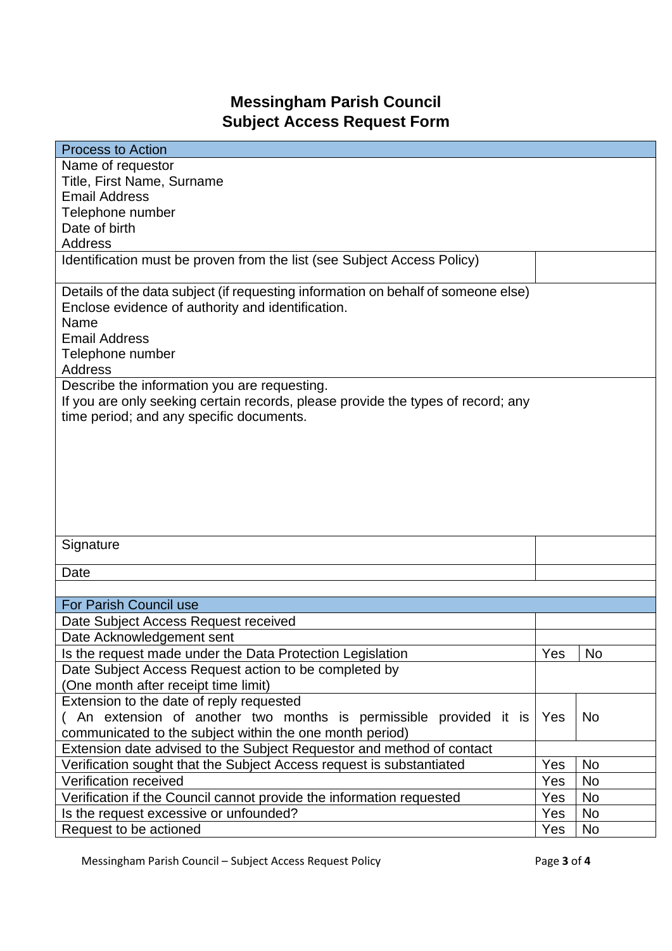# **Messingham Parish Council Subject Access Request Form**

| <b>Process to Action</b>                                                          |     |           |  |  |
|-----------------------------------------------------------------------------------|-----|-----------|--|--|
| Name of requestor                                                                 |     |           |  |  |
| Title, First Name, Surname                                                        |     |           |  |  |
| <b>Email Address</b>                                                              |     |           |  |  |
| Telephone number                                                                  |     |           |  |  |
| Date of birth                                                                     |     |           |  |  |
| <b>Address</b>                                                                    |     |           |  |  |
| Identification must be proven from the list (see Subject Access Policy)           |     |           |  |  |
| Details of the data subject (if requesting information on behalf of someone else) |     |           |  |  |
| Enclose evidence of authority and identification.                                 |     |           |  |  |
| Name                                                                              |     |           |  |  |
| <b>Email Address</b>                                                              |     |           |  |  |
| Telephone number                                                                  |     |           |  |  |
| <b>Address</b>                                                                    |     |           |  |  |
| Describe the information you are requesting.                                      |     |           |  |  |
| If you are only seeking certain records, please provide the types of record; any  |     |           |  |  |
| time period; and any specific documents.                                          |     |           |  |  |
|                                                                                   |     |           |  |  |
|                                                                                   |     |           |  |  |
|                                                                                   |     |           |  |  |
|                                                                                   |     |           |  |  |
|                                                                                   |     |           |  |  |
|                                                                                   |     |           |  |  |
|                                                                                   |     |           |  |  |
| Signature                                                                         |     |           |  |  |
|                                                                                   |     |           |  |  |
| Date                                                                              |     |           |  |  |
|                                                                                   |     |           |  |  |
| <b>For Parish Council use</b>                                                     |     |           |  |  |
| Date Subject Access Request received                                              |     |           |  |  |
| Date Acknowledgement sent                                                         |     |           |  |  |
| Is the request made under the Data Protection Legislation                         | Yes | <b>No</b> |  |  |
| Date Subject Access Request action to be completed by                             |     |           |  |  |
| (One month after receipt time limit)                                              |     |           |  |  |
| Extension to the date of reply requested                                          |     |           |  |  |
| (An extension of another two months is permissible provided it is                 | Yes | No        |  |  |
| communicated to the subject within the one month period)                          |     |           |  |  |
| Extension date advised to the Subject Requestor and method of contact             |     |           |  |  |
| Verification sought that the Subject Access request is substantiated              | Yes | <b>No</b> |  |  |
| Verification received                                                             | Yes | <b>No</b> |  |  |
| Verification if the Council cannot provide the information requested              | Yes | No        |  |  |
| Is the request excessive or unfounded?                                            | Yes | <b>No</b> |  |  |
| Request to be actioned                                                            | Yes | No        |  |  |